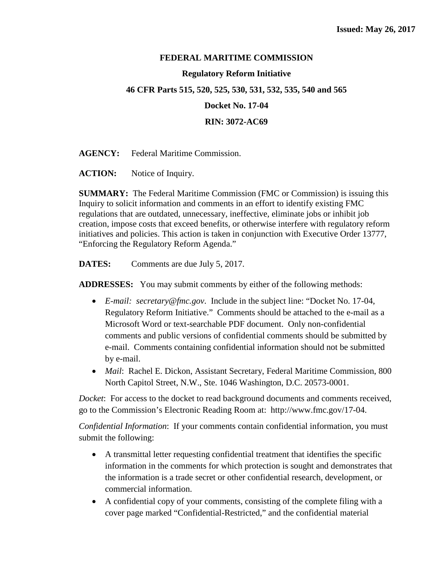# **FEDERAL MARITIME COMMISSION**

# **Regulatory Reform Initiative**

# **46 CFR Parts 515, 520, 525, 530, 531, 532, 535, 540 and 565**

**Docket No. 17-04**

**RIN: 3072-AC69**

**AGENCY:** Federal Maritime Commission.

ACTION: Notice of Inquiry.

**SUMMARY:** The Federal Maritime Commission (FMC or Commission) is issuing this Inquiry to solicit information and comments in an effort to identify existing FMC regulations that are outdated, unnecessary, ineffective, eliminate jobs or inhibit job creation, impose costs that exceed benefits, or otherwise interfere with regulatory reform initiatives and policies. This action is taken in conjunction with Executive Order 13777, "Enforcing the Regulatory Reform Agenda."

**DATES:** Comments are due July 5, 2017.

**ADDRESSES:** You may submit comments by either of the following methods:

- *E-mail: secretary@fmc.gov*. Include in the subject line: "Docket No. 17-04, Regulatory Reform Initiative." Comments should be attached to the e-mail as a Microsoft Word or text-searchable PDF document. Only non-confidential comments and public versions of confidential comments should be submitted by e-mail. Comments containing confidential information should not be submitted by e-mail.
- *Mail*: Rachel E. Dickon, Assistant Secretary, Federal Maritime Commission, 800 North Capitol Street, N.W., Ste. 1046 Washington, D.C. 20573-0001.

*Docket*: For access to the docket to read background documents and comments received, go to the Commission's Electronic Reading Room at: http://www.fmc.gov/17-04.

*Confidential Information*: If your comments contain confidential information, you must submit the following:

- A transmittal letter requesting confidential treatment that identifies the specific information in the comments for which protection is sought and demonstrates that the information is a trade secret or other confidential research, development, or commercial information.
- A confidential copy of your comments, consisting of the complete filing with a cover page marked "Confidential-Restricted," and the confidential material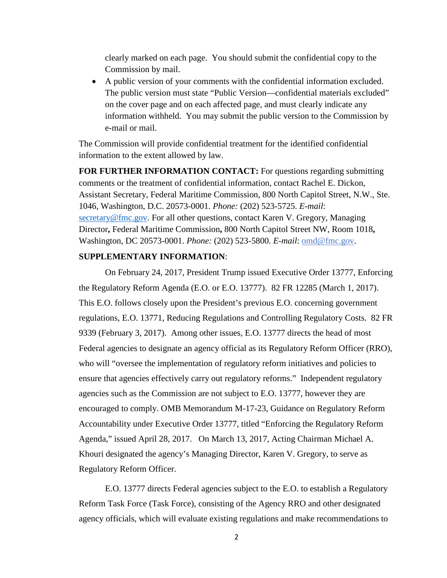clearly marked on each page. You should submit the confidential copy to the Commission by mail.

• A public version of your comments with the confidential information excluded. The public version must state "Public Version—confidential materials excluded" on the cover page and on each affected page, and must clearly indicate any information withheld. You may submit the public version to the Commission by e-mail or mail.

The Commission will provide confidential treatment for the identified confidential information to the extent allowed by law.

**FOR FURTHER INFORMATION CONTACT:** For questions regarding submitting comments or the treatment of confidential information, contact Rachel E. Dickon, Assistant Secretary, Federal Maritime Commission, 800 North Capitol Street, N.W., Ste. 1046, Washington, D.C. 20573-0001. *Phone:* (202) 523-5725. *E-mail*: [secretary@fmc.gov.](mailto:secretary@fmc.gov) For all other questions, contact Karen V. Gregory, Managing Director**,** Federal Maritime Commission**,** 800 North Capitol Street NW, Room 1018**,**  Washington, DC 20573-0001. *Phone:* (202) 523-5800. *E-mail*: omd@fmc.gov.

# **SUPPLEMENTARY INFORMATION**:

On February 24, 2017, President Trump issued Executive Order 13777, Enforcing the Regulatory Reform Agenda (E.O. or E.O. 13777). 82 FR 12285 (March 1, 2017). This E.O. follows closely upon the President's previous E.O. concerning government regulations, E.O. 13771, Reducing Regulations and Controlling Regulatory Costs. 82 FR 9339 (February 3, 2017). Among other issues, E.O. 13777 directs the head of most Federal agencies to designate an agency official as its Regulatory Reform Officer (RRO), who will "oversee the implementation of regulatory reform initiatives and policies to ensure that agencies effectively carry out regulatory reforms." Independent regulatory agencies such as the Commission are not subject to E.O. 13777, however they are encouraged to comply. OMB Memorandum M-17-23, Guidance on Regulatory Reform Accountability under Executive Order 13777, titled "Enforcing the Regulatory Reform Agenda," issued April 28, 2017. On March 13, 2017, Acting Chairman Michael A. Khouri designated the agency's Managing Director, Karen V. Gregory, to serve as Regulatory Reform Officer.

E.O. 13777 directs Federal agencies subject to the E.O. to establish a Regulatory Reform Task Force (Task Force), consisting of the Agency RRO and other designated agency officials, which will evaluate existing regulations and make recommendations to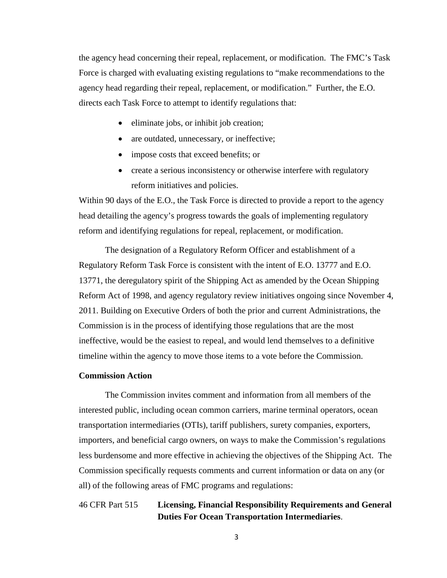the agency head concerning their repeal, replacement, or modification. The FMC's Task Force is charged with evaluating existing regulations to "make recommendations to the agency head regarding their repeal, replacement, or modification." Further, the E.O. directs each Task Force to attempt to identify regulations that:

- eliminate jobs, or inhibit job creation;
- are outdated, unnecessary, or ineffective;
- impose costs that exceed benefits; or
- create a serious inconsistency or otherwise interfere with regulatory reform initiatives and policies.

Within 90 days of the E.O., the Task Force is directed to provide a report to the agency head detailing the agency's progress towards the goals of implementing regulatory reform and identifying regulations for repeal, replacement, or modification.

The designation of a Regulatory Reform Officer and establishment of a Regulatory Reform Task Force is consistent with the intent of E.O. 13777 and E.O. 13771, the deregulatory spirit of the Shipping Act as amended by the Ocean Shipping Reform Act of 1998, and agency regulatory review initiatives ongoing since November 4, 2011. Building on Executive Orders of both the prior and current Administrations, the Commission is in the process of identifying those regulations that are the most ineffective, would be the easiest to repeal, and would lend themselves to a definitive timeline within the agency to move those items to a vote before the Commission.

# **Commission Action**

The Commission invites comment and information from all members of the interested public, including ocean common carriers, marine terminal operators, ocean transportation intermediaries (OTIs), tariff publishers, surety companies, exporters, importers, and beneficial cargo owners, on ways to make the Commission's regulations less burdensome and more effective in achieving the objectives of the Shipping Act. The Commission specifically requests comments and current information or data on any (or all) of the following areas of FMC programs and regulations:

46 CFR Part 515 **Licensing, Financial Responsibility Requirements and General Duties For Ocean Transportation Intermediaries**.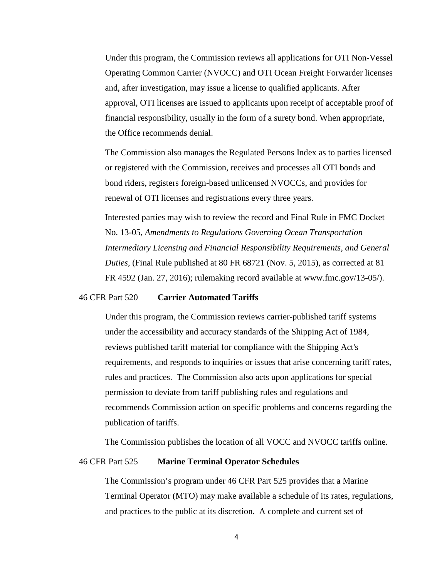Under this program, the Commission reviews all applications for OTI Non-Vessel Operating Common Carrier (NVOCC) and OTI Ocean Freight Forwarder licenses and, after investigation, may issue a license to qualified applicants. After approval, OTI licenses are issued to applicants upon receipt of acceptable proof of financial responsibility, usually in the form of a surety bond. When appropriate, the Office recommends denial.

The Commission also manages the Regulated Persons Index as to parties licensed or registered with the Commission, receives and processes all OTI bonds and bond riders, registers foreign-based unlicensed NVOCCs, and provides for renewal of OTI licenses and registrations every three years.

Interested parties may wish to review the record and Final Rule in FMC Docket No. 13-05, *Amendments to Regulations Governing Ocean Transportation Intermediary Licensing and Financial Responsibility Requirements, and General Duties*, (Final Rule published at 80 FR 68721 (Nov. 5, 2015), as corrected at 81 FR 4592 (Jan. 27, 2016); rulemaking record available at www.fmc.gov/13-05/).

### 46 CFR Part 520 **Carrier Automated Tariffs**

Under this program, the Commission reviews carrier-published tariff systems under the accessibility and accuracy standards of the Shipping Act of 1984, reviews published tariff material for compliance with the Shipping Act's requirements, and responds to inquiries or issues that arise concerning tariff rates, rules and practices. The Commission also acts upon applications for special permission to deviate from tariff publishing rules and regulations and recommends Commission action on specific problems and concerns regarding the publication of tariffs.

The Commission publishes the location of all VOCC and NVOCC tariffs online.

## 46 CFR Part 525 **Marine Terminal Operator Schedules**

The Commission's program under 46 CFR Part 525 provides that a Marine Terminal Operator (MTO) may make available a schedule of its rates, regulations, and practices to the public at its discretion. A complete and current set of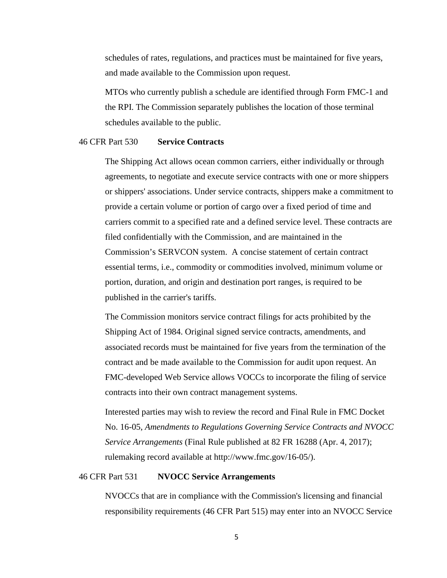schedules of rates, regulations, and practices must be maintained for five years, and made available to the Commission upon request.

MTOs who currently publish a schedule are identified through Form FMC-1 and the RPI. The Commission separately publishes the location of those terminal schedules available to the public.

#### 46 CFR Part 530 **Service Contracts**

The Shipping Act allows ocean common carriers, either individually or through agreements, to negotiate and execute service contracts with one or more shippers or shippers' associations. Under service contracts, shippers make a commitment to provide a certain volume or portion of cargo over a fixed period of time and carriers commit to a specified rate and a defined service level. These contracts are filed confidentially with the Commission, and are maintained in the Commission's SERVCON system. A concise statement of certain contract essential terms, i.e., commodity or commodities involved, minimum volume or portion, duration, and origin and destination port ranges, is required to be published in the carrier's tariffs.

The Commission monitors service contract filings for acts prohibited by the Shipping Act of 1984. Original signed service contracts, amendments, and associated records must be maintained for five years from the termination of the contract and be made available to the Commission for audit upon request. An FMC-developed Web Service allows VOCCs to incorporate the filing of service contracts into their own contract management systems.

Interested parties may wish to review the record and Final Rule in FMC Docket No. 16-05, *Amendments to Regulations Governing Service Contracts and NVOCC Service Arrangements* (Final Rule published at 82 FR 16288 (Apr. 4, 2017); rulemaking record available at http://www.fmc.gov/16-05/).

### 46 CFR Part 531 **NVOCC Service Arrangements**

NVOCCs that are in compliance with the Commission's licensing and financial responsibility requirements (46 CFR Part 515) may enter into an NVOCC Service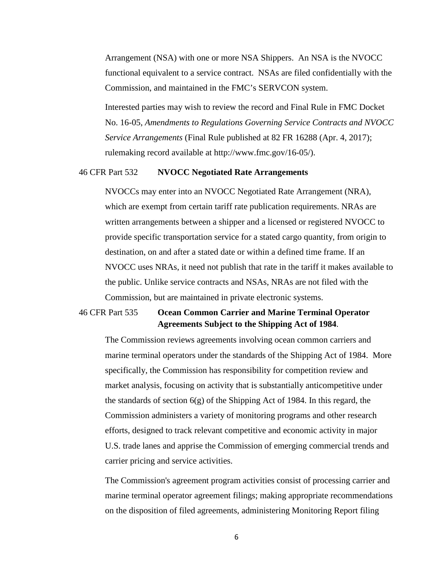Arrangement (NSA) with one or more NSA Shippers. An NSA is the NVOCC functional equivalent to a service contract. NSAs are filed confidentially with the Commission, and maintained in the FMC's SERVCON system.

Interested parties may wish to review the record and Final Rule in FMC Docket No. 16-05, *Amendments to Regulations Governing Service Contracts and NVOCC Service Arrangements* (Final Rule published at 82 FR 16288 (Apr. 4, 2017); rulemaking record available at http://www.fmc.gov/16-05/).

## 46 CFR Part 532 **NVOCC Negotiated Rate Arrangements**

NVOCCs may enter into an NVOCC Negotiated Rate Arrangement (NRA), which are exempt from certain tariff rate publication requirements. NRAs are written arrangements between a shipper and a licensed or registered NVOCC to provide specific transportation service for a stated cargo quantity, from origin to destination, on and after a stated date or within a defined time frame. If an NVOCC uses NRAs, it need not publish that rate in the tariff it makes available to the public. Unlike service contracts and NSAs, NRAs are not filed with the Commission, but are maintained in private electronic systems.

# 46 CFR Part 535 **Ocean Common Carrier and Marine Terminal Operator Agreements Subject to the Shipping Act of 1984**.

The Commission reviews agreements involving ocean common carriers and marine terminal operators under the standards of the Shipping Act of 1984. More specifically, the Commission has responsibility for competition review and market analysis, focusing on activity that is substantially anticompetitive under the standards of section  $6(g)$  of the Shipping Act of 1984. In this regard, the Commission administers a variety of monitoring programs and other research efforts, designed to track relevant competitive and economic activity in major U.S. trade lanes and apprise the Commission of emerging commercial trends and carrier pricing and service activities.

The Commission's agreement program activities consist of processing carrier and marine terminal operator agreement filings; making appropriate recommendations on the disposition of filed agreements, administering Monitoring Report filing

6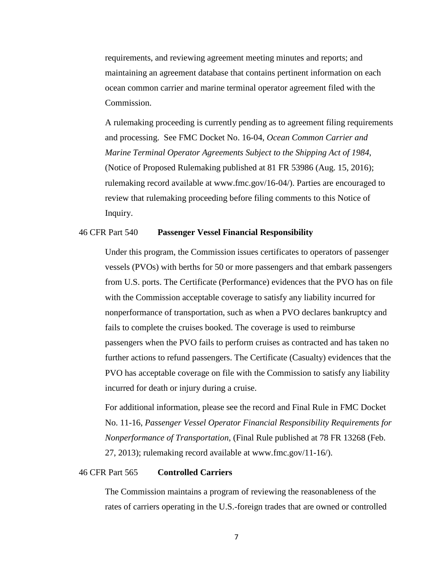requirements, and reviewing agreement meeting minutes and reports; and maintaining an agreement database that contains pertinent information on each ocean common carrier and marine terminal operator agreement filed with the Commission.

A rulemaking proceeding is currently pending as to agreement filing requirements and processing. See FMC Docket No. 16-04, *Ocean Common Carrier and Marine Terminal Operator Agreements Subject to the Shipping Act of 1984*, (Notice of Proposed Rulemaking published at 81 FR 53986 (Aug. 15, 2016); rulemaking record available at www.fmc.gov/16-04/). Parties are encouraged to review that rulemaking proceeding before filing comments to this Notice of Inquiry.

### 46 CFR Part 540 **Passenger Vessel Financial Responsibility**

Under this program, the Commission issues certificates to operators of passenger vessels (PVOs) with berths for 50 or more passengers and that embark passengers from U.S. ports. The Certificate (Performance) evidences that the PVO has on file with the Commission acceptable coverage to satisfy any liability incurred for nonperformance of transportation, such as when a PVO declares bankruptcy and fails to complete the cruises booked. The coverage is used to reimburse passengers when the PVO fails to perform cruises as contracted and has taken no further actions to refund passengers. The Certificate (Casualty) evidences that the PVO has acceptable coverage on file with the Commission to satisfy any liability incurred for death or injury during a cruise.

For additional information, please see the record and Final Rule in FMC Docket No. 11-16, *Passenger Vessel Operator Financial Responsibility Requirements for Nonperformance of Transportation*, (Final Rule published at 78 FR 13268 (Feb. 27, 2013); rulemaking record available at www.fmc.gov/11-16/).

## 46 CFR Part 565 **Controlled Carriers**

The Commission maintains a program of reviewing the reasonableness of the rates of carriers operating in the U.S.-foreign trades that are owned or controlled